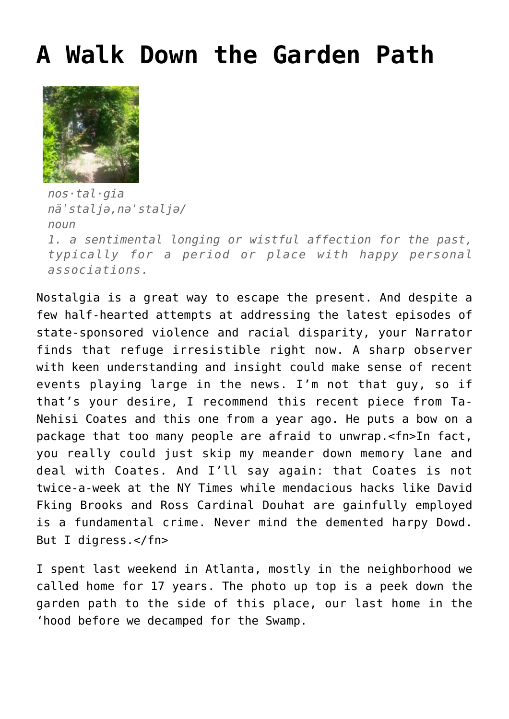## **[A Walk Down the Garden Path](http://www.immunetoboredom.com/a-walk-down-the-garden-path/)**



*nos·tal·gia näˈstaljə,nəˈstaljə/ noun*

*1. a sentimental longing or wistful affection for the past, typically for a period or place with happy personal associations.*

Nostalgia is a great way to escape the present. And despite a few half-hearted attempts at addressing the latest episodes of state-sponsored violence and racial disparity, your Narrator finds that refuge irresistible right now. A sharp observer with keen understanding and insight could make sense of recent events playing large in the news. I'm not that guy, so if that's your desire, I recommend [this recent piece](http://www.theatlantic.com/politics/archive/2015/04/nonviolence-as-compliance/391640/) from Ta-Nehisi Coates and [this one from a year ago](http://www.theatlantic.com/features/archive/2014/05/the-case-for-reparations/361631/). He puts a bow on a package that too many people are afraid to unwrap.<fn>In fact, you really could just skip my meander down memory lane and deal with Coates. And I'll say again: that Coates is not twice-a-week at the NY Times while mendacious hacks like David Fking Brooks and Ross Cardinal Douhat are gainfully employed is a fundamental crime. Never mind the demented harpy Dowd. But I digress.</fn>

I spent last weekend in Atlanta, mostly in the neighborhood we called home for 17 years. The photo up top is a peek down the garden path to the side of this place, our last home in the 'hood before we decamped for the Swamp.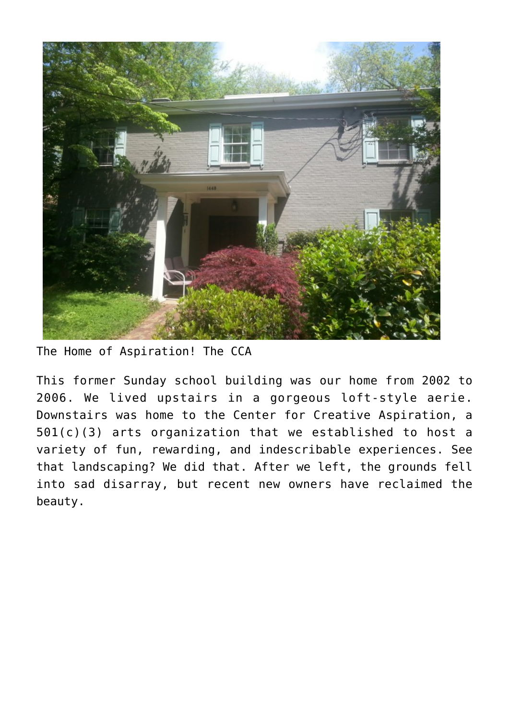

The Home of Aspiration! The CCA

This former Sunday school building was our home from 2002 to 2006. We lived upstairs in a gorgeous loft-style aerie. Downstairs was home to the Center for Creative Aspiration, a 501(c)(3) arts organization that we established to host a variety of fun, rewarding, and indescribable experiences. See that landscaping? We did that. After we left, the grounds fell into sad disarray, but recent new owners have reclaimed the beauty.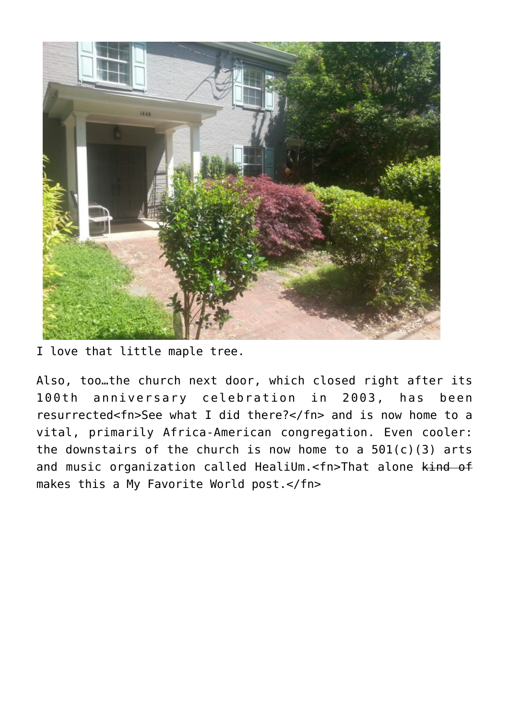

I love that little maple tree.

Also, too…the church next door, which closed right after its 100th anniversary celebration in 2003, has been resurrected<fn>See what I did there?</fn> and is now home to a vital, primarily Africa-American congregation. Even cooler: the downstairs of the church is now home to a  $501(c)(3)$  arts and music organization called HealiUm.<fn>That alone kind of makes this a My Favorite World post.</fn>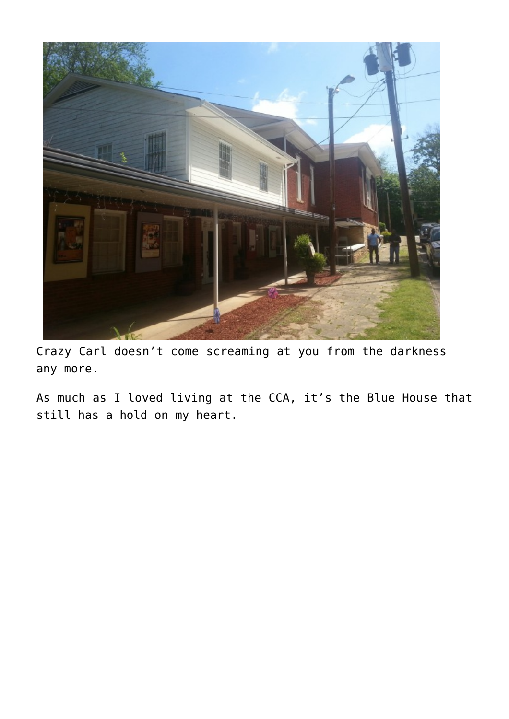

Crazy Carl doesn't come screaming at you from the darkness any more.

As much as I loved living at the CCA, it's the Blue House that still has a hold on my heart.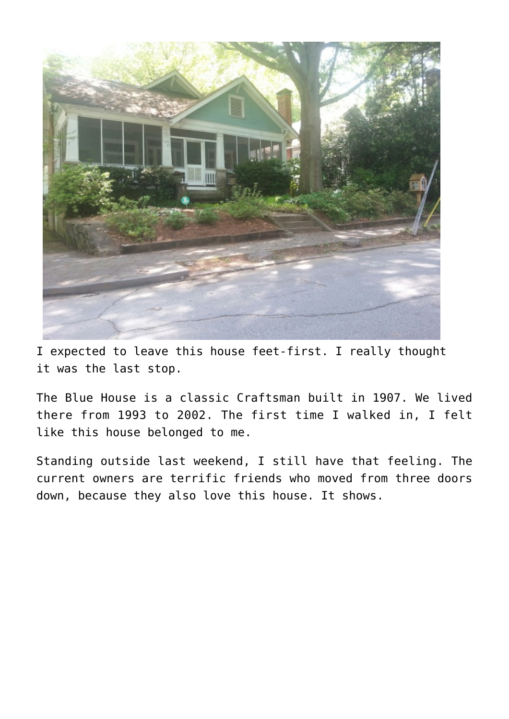

I expected to leave this house feet-first. I really thought it was the last stop.

The Blue House is a classic Craftsman built in 1907. We lived there from 1993 to 2002. The first time I walked in, I felt like this house belonged to me.

Standing outside last weekend, I still have that feeling. The current owners are terrific friends who moved from three doors down, because they also love this house. It shows.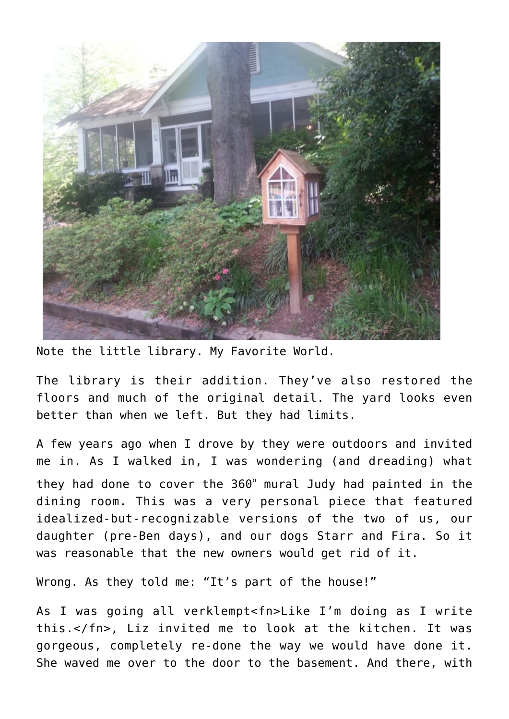

Note the little library. My Favorite World.

The library is their addition. They've also restored the floors and much of the original detail. The yard looks even better than when we left. But they had limits.

A few years ago when I drove by they were outdoors and invited me in. As I walked in, I was wondering (and dreading) what they had done to cover the 360° mural Judy had painted in the dining room. This was a very personal piece that featured idealized-but-recognizable versions of the two of us, our daughter (pre-Ben days), and our dogs Starr and Fira. So it was reasonable that the new owners would get rid of it.

Wrong. As they told me: "It's part of the house!"

As I was going all verklempt<fn>Like I'm doing as I write this.</fn>, Liz invited me to look at the kitchen. It was gorgeous, completely re-done the way we would have done it. She waved me over to the door to the basement. And there, with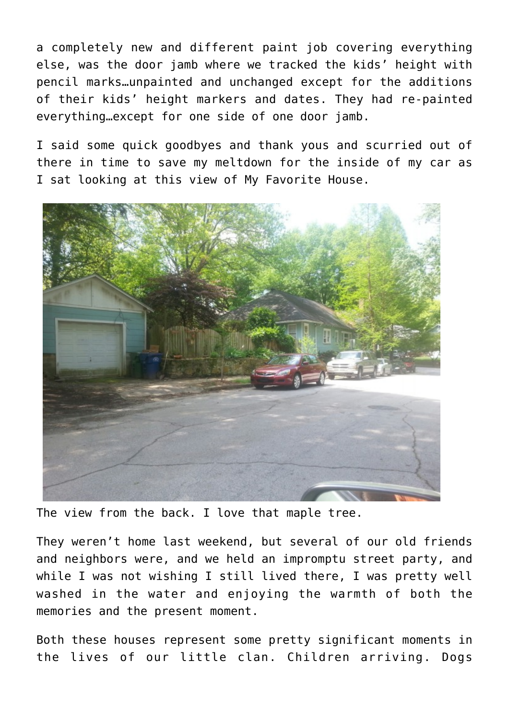a completely new and different paint job covering everything else, was the door jamb where we tracked the kids' height with pencil marks…unpainted and unchanged except for the additions of their kids' height markers and dates. They had re-painted everything…except for one side of one door jamb.

I said some quick goodbyes and thank yous and scurried out of there in time to save my meltdown for the inside of my car as I sat looking at this view of My Favorite House.



The view from the back. I love that maple tree.

They weren't home last weekend, but several of our old friends and neighbors were, and we held an impromptu street party, and while I was not wishing I still lived there, I was pretty well washed in the water and enjoying the warmth of both the memories and the present moment.

Both these houses represent some pretty significant moments in the lives of our little clan. Children arriving. Dogs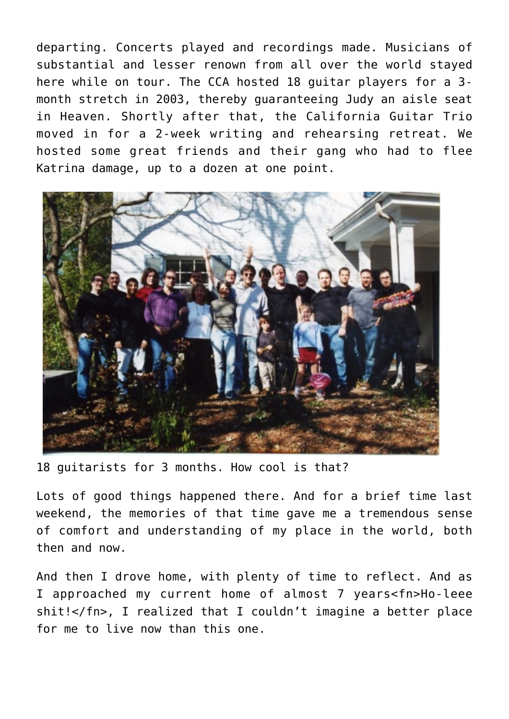departing. Concerts played and recordings made. Musicians of substantial and lesser renown from all over the world stayed here while on tour. The CCA hosted 18 guitar players for a 3 month stretch in 2003, thereby guaranteeing Judy an aisle seat in Heaven. Shortly after that, the [California Guitar Trio](http://www.cgtrio.com/) moved in for a 2-week writing and rehearsing retreat. We hosted some great friends and their gang who had to flee Katrina damage, up to a dozen at one point.



18 guitarists for 3 months. How cool is that?

Lots of good things happened there. And for a brief time last weekend, the memories of that time gave me a tremendous sense of comfort and understanding of my place in the world, both then and now.

And then I drove home, with plenty of time to reflect. And as I approached my current home of almost 7 years<fn>Ho-leee shit!</fn>, I realized that I couldn't imagine a better place for me to live now than this one.